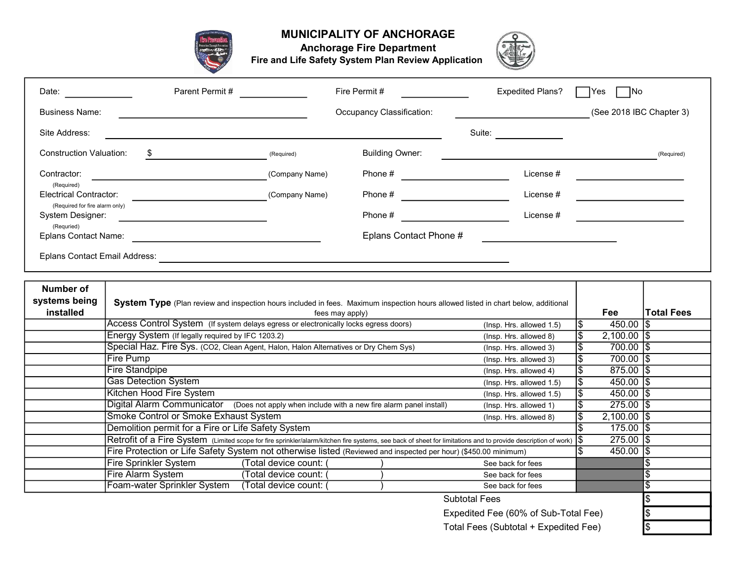

## MUNICIPALITY OF ANCHORAGE



Anchorage Fire Department

Fire and Life Safety System Plan Review Application

| Date:                                              | Parent Permit #                                                                                                                                               |                         | Fire Permit #             | <b>Expedited Plans?</b>  | <b>INo</b><br>lYes.    |                          |  |  |
|----------------------------------------------------|---------------------------------------------------------------------------------------------------------------------------------------------------------------|-------------------------|---------------------------|--------------------------|------------------------|--------------------------|--|--|
| <b>Business Name:</b>                              |                                                                                                                                                               |                         | Occupancy Classification: |                          |                        | (See 2018 IBC Chapter 3) |  |  |
| Site Address:                                      |                                                                                                                                                               |                         |                           | Suite:                   |                        |                          |  |  |
| <b>Construction Valuation:</b>                     | \$                                                                                                                                                            | (Required)              | <b>Building Owner:</b>    |                          |                        | (Required)               |  |  |
| Contractor:                                        |                                                                                                                                                               | (Company Name)          | Phone #                   | License #                |                        |                          |  |  |
| (Required)<br><b>Electrical Contractor:</b>        |                                                                                                                                                               | (Company Name)          |                           | License #                |                        |                          |  |  |
| (Required for fire alarm only)<br>System Designer: |                                                                                                                                                               |                         | Phone #                   | License #                |                        |                          |  |  |
| (Requried)<br><b>Eplans Contact Name:</b>          |                                                                                                                                                               |                         | Eplans Contact Phone #    |                          |                        |                          |  |  |
| <b>Eplans Contact Email Address:</b>               |                                                                                                                                                               |                         |                           |                          |                        |                          |  |  |
|                                                    |                                                                                                                                                               |                         |                           |                          |                        |                          |  |  |
| <b>Number of</b><br>systems being<br>installed     | System Type (Plan review and inspection hours included in fees. Maximum inspection hours allowed listed in chart below, additional<br>fees may apply)         |                         |                           |                          |                        |                          |  |  |
|                                                    | Access Control System (If system delays egress or electronically locks egress doors)<br>(Insp. Hrs. allowed 1.5)                                              |                         |                           |                          |                        | 450.00 \\$               |  |  |
|                                                    | Energy System (If legally required by IFC 1203.2)                                                                                                             |                         |                           | (Insp. Hrs. allowed 8)   | $2,100.00$ $\sqrt{\$}$ |                          |  |  |
|                                                    | Special Haz. Fire Sys. (CO2, Clean Agent, Halon, Halon Alternatives or Dry Chem Sys)                                                                          |                         |                           | (Insp. Hrs. allowed 3)   | \$<br>700.00 \$        |                          |  |  |
|                                                    | <b>Fire Pump</b>                                                                                                                                              |                         |                           | (Insp. Hrs. allowed 3)   | \$<br>700.00 \$        |                          |  |  |
|                                                    | <b>Fire Standpipe</b><br>(Insp. Hrs. allowed 4)                                                                                                               |                         |                           |                          |                        | $875.00$ $\sqrt{5}$      |  |  |
|                                                    | <b>Gas Detection System</b>                                                                                                                                   |                         |                           | (Insp. Hrs. allowed 1.5) | 450.00 $\vert$ \$      |                          |  |  |
|                                                    | Kitchen Hood Fire System                                                                                                                                      | 450.00 $\vert$ \$       |                           |                          |                        |                          |  |  |
|                                                    | Digital Alarm Communicator (Does not apply when include with a new fire alarm panel install)                                                                  | $\overline{275.00}$  \$ |                           |                          |                        |                          |  |  |
|                                                    | Smoke Control or Smoke Exhaust System                                                                                                                         | ß.<br>$2,100.00$ \\$    |                           |                          |                        |                          |  |  |
|                                                    | Demolition permit for a Fire or Life Safety System                                                                                                            | $175.00$ $\sqrt{\$}$    |                           |                          |                        |                          |  |  |
|                                                    | Retrofit of a Fire System (Limited scope for fire sprinkler/alarm/kitchen fire systems, see back of sheet for limitations and to provide description of work) | $275.00$ \$<br>1\$      |                           |                          |                        |                          |  |  |
|                                                    | Fire Protection or Life Safety System not otherwise listed (Reviewed and inspected per hour) (\$450.00 minimum)                                               | $450.00$ $\sqrt{\$}$    |                           |                          |                        |                          |  |  |
|                                                    | Fire Sprinkler System                                                                                                                                         | (Total device count: (  |                           | See back for fees        |                        |                          |  |  |
|                                                    | Fire Alarm System                                                                                                                                             | (Total device count: (  |                           | See back for fees        |                        |                          |  |  |
|                                                    | Foam-water Sprinkler System                                                                                                                                   | (Total device count: (  |                           | See back for fees        |                        |                          |  |  |
|                                                    |                                                                                                                                                               |                         |                           |                          |                        |                          |  |  |

Expedited Fee (60% of Sub-Total Fee)<br>Total Fees (Subtotal + Expedited Fee) Total Fees (Subtotal + Expedited Fee) \$